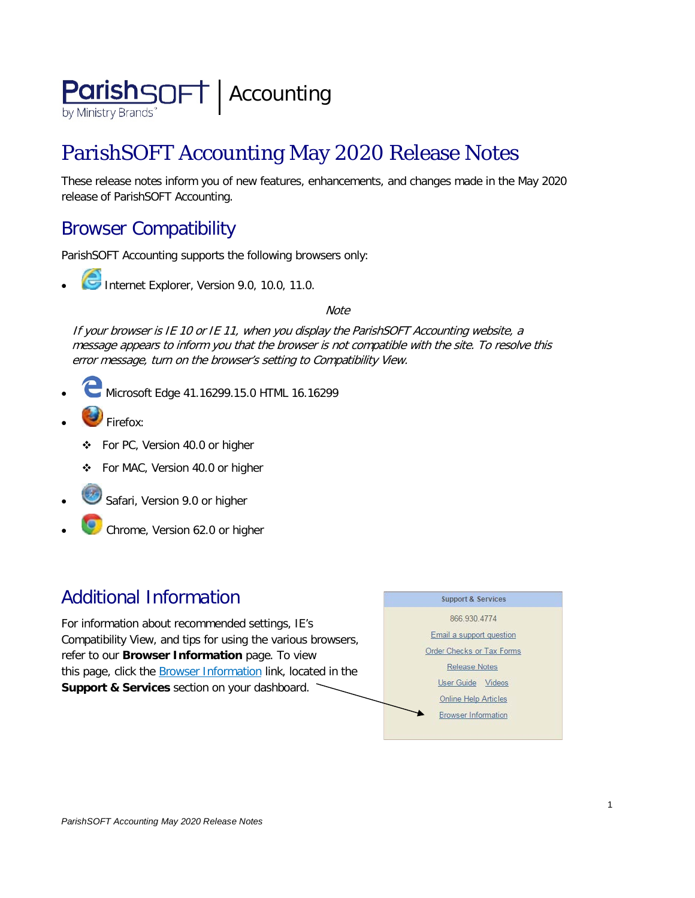

# ParishSOFT Accounting May 2020 Release Notes

These release notes inform you of new features, enhancements, and changes made in the May 2020 release of ParishSOFT Accounting.

## Browser Compatibility

ParishSOFT Accounting supports the following browsers only:

**• Internet Explorer, Version 9.0, 10.0, 11.0.** 

**Note** 

If your browser is IE 10 or IE 11, when you display the ParishSOFT Accounting website, a message appears to inform you that the browser is not compatible with the site. To resolve this error message, turn on the browser's setting to Compatibility View.

- Microsoft Edge 41.16299.15.0 HTML 16.16299
- Firefox:
	- For PC, Version 40.0 or higher
	- For MAC, Version 40.0 or higher
- Safari, Version 9.0 or higher
- Chrome, Version 62.0 or higher

### Additional Information

For information about recommended settings, IE's Compatibility View, and tips for using the various browsers, refer to our **Browser Information** page. To view this page, click the **Browser Information** link, located in the **Support & Services** section on your dashboard.

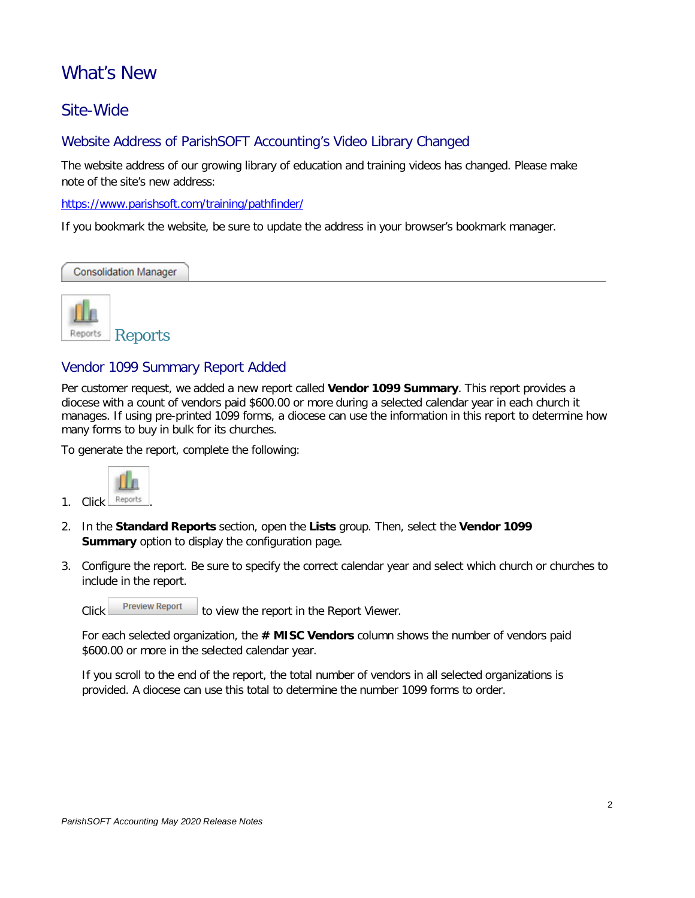### What's New

### Site-Wide

#### Website Address of ParishSOFT Accounting's Video Library Changed

The website address of our growing library of education and training videos has changed. Please make note of the site's new address:

<https://www.parishsoft.com/training/pathfinder/>

If you bookmark the website, be sure to update the address in your browser's bookmark manager.

**Consolidation Manager** 



#### Vendor 1099 Summary Report Added

Per customer request, we added a new report called **Vendor 1099 Summary**. This report provides a diocese with a count of vendors paid \$600.00 or more during a selected calendar year in each church it manages. If using pre-printed 1099 forms, a diocese can use the information in this report to determine how many forms to buy in bulk for its churches.

To generate the report, complete the following:



- 2. In the **Standard Reports** section, open the **Lists** group. Then, select the **Vendor 1099 Summary** option to display the configuration page.
- 3. Configure the report. Be sure to specify the correct calendar year and select which church or churches to include in the report.

Click Preview Report to view the report in the Report Viewer.

For each selected organization, the **# MISC Vendors** column shows the number of vendors paid \$600.00 or more in the selected calendar year.

If you scroll to the end of the report, the total number of vendors in all selected organizations is provided. A diocese can use this total to determine the number 1099 forms to order.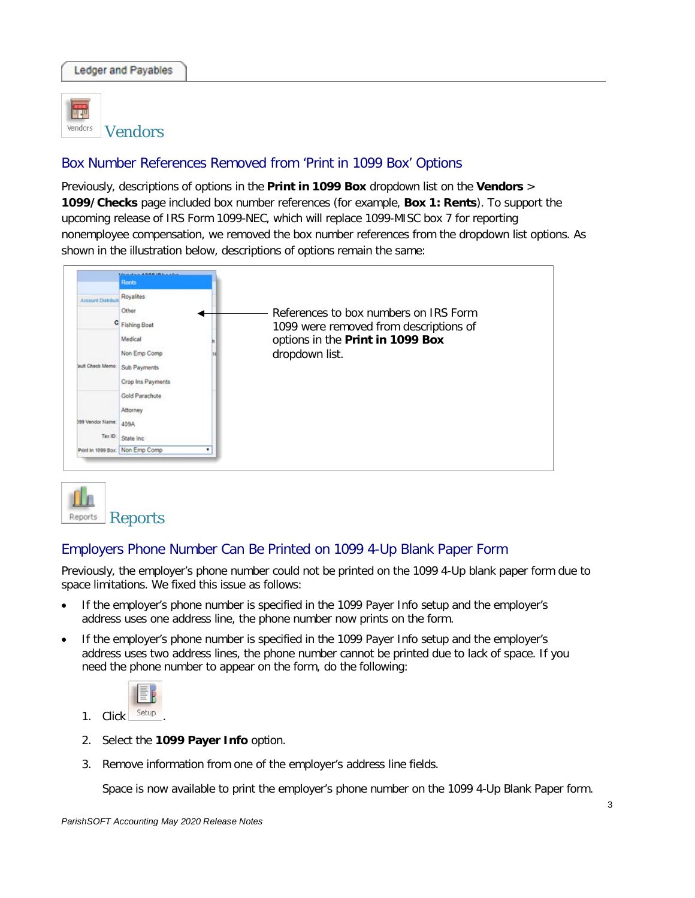

Vendors

#### Box Number References Removed from 'Print in 1099 Box' Options

Previously, descriptions of options in the **Print in 1099 Box** dropdown list on the **Vendors** > **1099/Checks** page included box number references (for example, **Box 1: Rents**). To support the upcoming release of IRS Form 1099-NEC, which will replace 1099-MISC box 7 for reporting nonemployee compensation, we removed the box number references from the dropdown list options. As shown in the illustration below, descriptions of options remain the same:





#### Employers Phone Number Can Be Printed on 1099 4-Up Blank Paper Form

Previously, the employer's phone number could not be printed on the 1099 4-Up blank paper form due to space limitations. We fixed this issue as follows:

- If the employer's phone number is specified in the 1099 Payer Info setup and the employer's address uses one address line, the phone number now prints on the form.
- If the employer's phone number is specified in the 1099 Payer Info setup and the employer's address uses two address lines, the phone number cannot be printed due to lack of space. If you need the phone number to appear on the form, do the following:



- 
- 2. Select the **1099 Payer Info** option.
- 3. Remove information from one of the employer's address line fields.

Space is now available to print the employer's phone number on the 1099 4-Up Blank Paper form.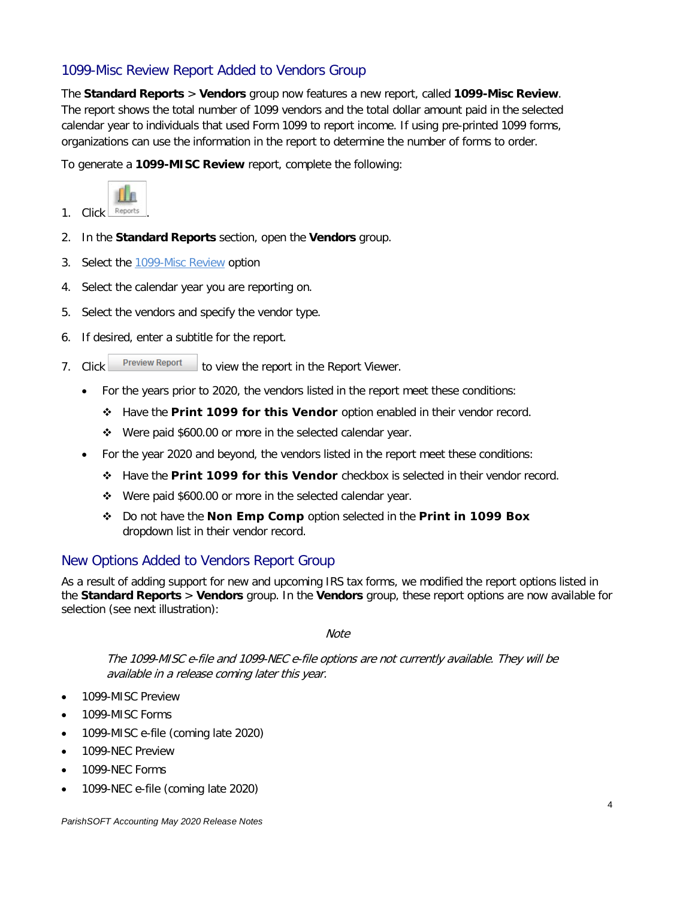#### 1099-Misc Review Report Added to Vendors Group

The **Standard Reports** > **Vendors** group now features a new report, called **1099-Misc Review**. The report shows the total number of 1099 vendors and the total dollar amount paid in the selected calendar year to individuals that used Form 1099 to report income. If using pre-printed 1099 forms, organizations can use the information in the report to determine the number of forms to order.

To generate a **1099-MISC Review** report, complete the following:



- 1. Click Reports
- 2. In the **Standard Reports** section, open the **Vendors** group.
- 3. Select the 1099-Misc Review option
- 4. Select the calendar year you are reporting on.
- 5. Select the vendors and specify the vendor type.
- 6. If desired, enter a subtitle for the report.
- 7. Click Preview Report to view the report in the Report Viewer.
	- For the years prior to 2020, the vendors listed in the report meet these conditions:
		- Have the **Print 1099 for this Vendor** option enabled in their vendor record.
		- Were paid \$600.00 or more in the selected calendar year.
	- For the year 2020 and beyond, the vendors listed in the report meet these conditions:
		- Have the **Print 1099 for this Vendor** checkbox is selected in their vendor record.
		- Were paid \$600.00 or more in the selected calendar year.
		- Do not have the **Non Emp Comp** option selected in the **Print in 1099 Box**  dropdown list in their vendor record.

#### New Options Added to Vendors Report Group

As a result of adding support for new and upcoming IRS tax forms, we modified the report options listed in the **Standard Reports** > **Vendors** group. In the **Vendors** group, these report options are now available for selection (see next illustration):

**Note** 

The 1099-MISC e-file and 1099-NEC e-file options are not currently available. They will be available in a release coming later this year.

- 1099-MISC Preview
- 1099-MISC Forms
- 1099-MISC e-file (coming late 2020)
- 1099-NEC Preview
- 1099-NEC Forms
- 1099-NEC e-file (coming late 2020)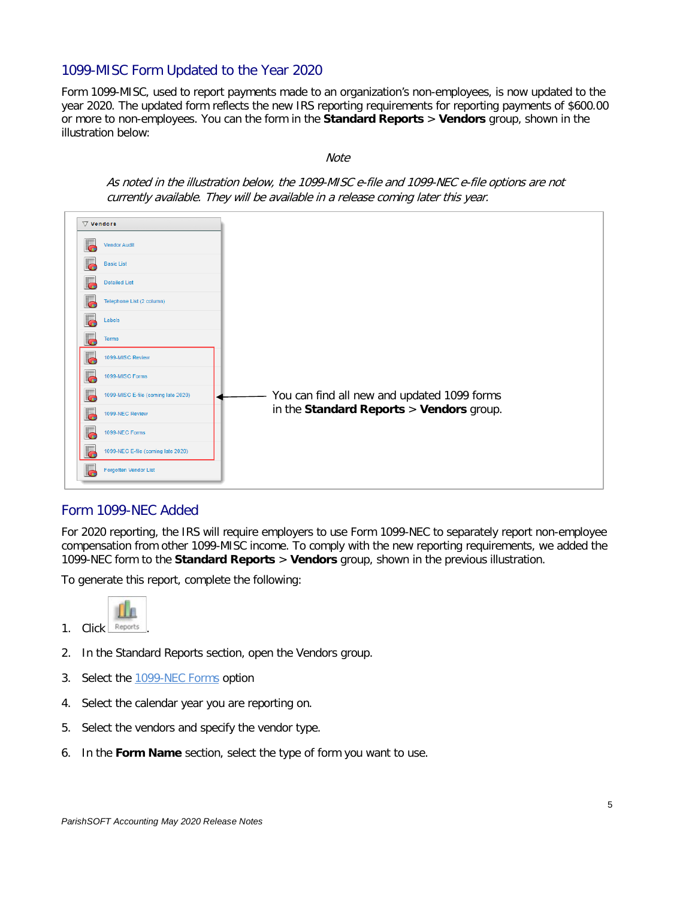#### 1099-MISC Form Updated to the Year 2020

Form 1099-MISC, used to report payments made to an organization's non-employees, is now updated to the year 2020. The updated form reflects the new IRS reporting requirements for reporting payments of \$600.00 or more to non-employees. You can the form in the **Standard Reports** > **Vendors** group, shown in the illustration below:

**Note** 



#### Form 1099-NEC Added

For 2020 reporting, the IRS will require employers to use Form 1099-NEC to separately report non-employee compensation from other 1099-MISC income. To comply with the new reporting requirements, we added the 1099-NEC form to the **Standard Reports** > **Vendors** group, shown in the previous illustration.

To generate this report, complete the following:



- 2. In the Standard Reports section, open the Vendors group.
- 3. Select the 1099-NEC Forms option
- 4. Select the calendar year you are reporting on.
- 5. Select the vendors and specify the vendor type.
- 6. In the **Form Name** section, select the type of form you want to use.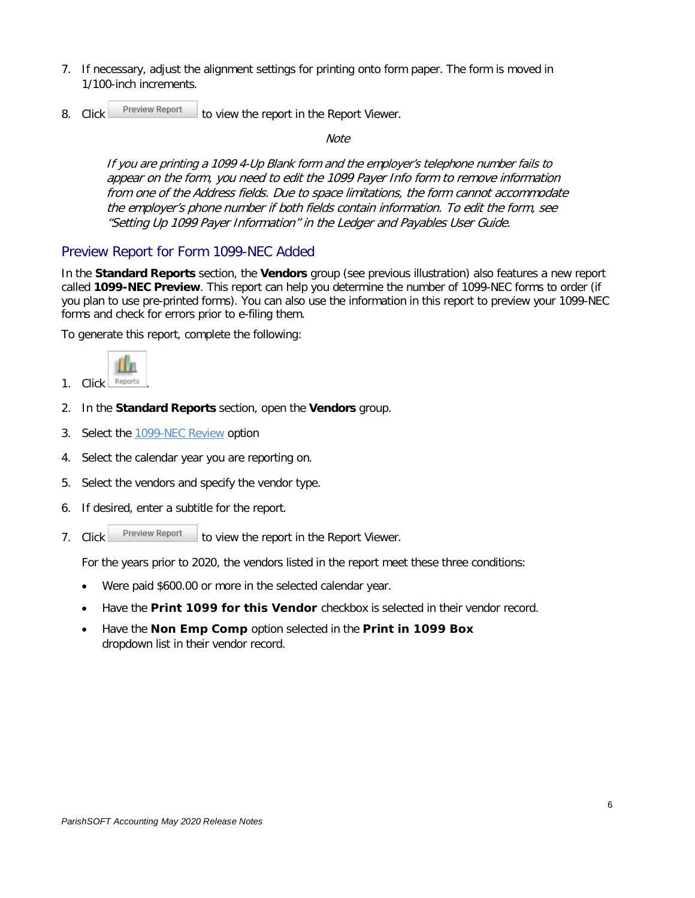- 7. If necessary, adjust the alignment settings for printing onto form paper. The form is moved in 1/100-inch increments.
- 8. Click **Preview Report** to view the report in the Report Viewer.

**Note** 

If you are printing a 1099 4-Up Blank form and the employer's telephone number fails to appear on the form, you need to edit the 1099 Payer Info form to remove information from one of the Address fields. Due to space limitations, the form cannot accommodate the employer's phone number if both fields contain information. To edit the form, see "Setting Up 1099 Payer Information" in the Ledger and Payables User Guide.

#### Preview Report for Form 1099-NEC Added

In the **Standard Reports** section, the **Vendors** group (see previous illustration) also features a new report called **1099-NEC Preview**. This report can help you determine the number of 1099-NEC forms to order (if you plan to use pre-printed forms). You can also use the information in this report to preview your 1099-NEC forms and check for errors prior to e-filing them.

To generate this report, complete the following:



- 1. Click Reports
- 2. In the **Standard Reports** section, open the **Vendors** group.
- 3. Select the 1099-NEC Review option
- 4. Select the calendar year you are reporting on.
- 5. Select the vendors and specify the vendor type.
- 6. If desired, enter a subtitle for the report.
- 7. Click **Preview Report** to view the report in the Report Viewer.

For the years prior to 2020, the vendors listed in the report meet these three conditions:

- Were paid \$600.00 or more in the selected calendar year.
- Have the **Print 1099 for this Vendor** checkbox is selected in their vendor record.
- Have the **Non Emp Comp** option selected in the **Print in 1099 Box**  dropdown list in their vendor record.